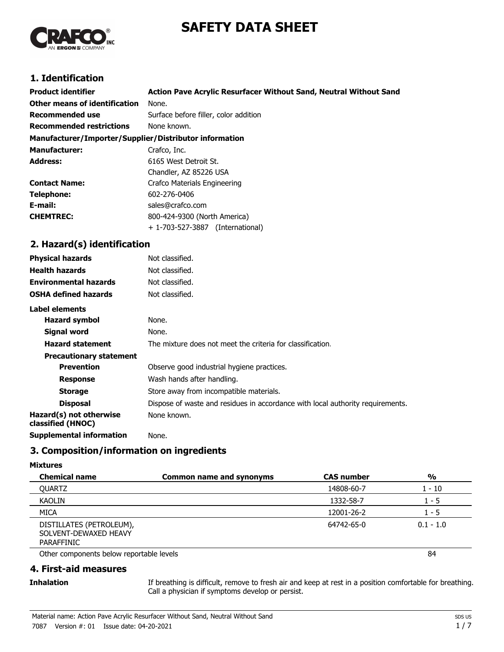# **SAFETY DATA SHEET**



# **1. Identification**

| <b>Product identifier</b>                              | Action Pave Acrylic Resurfacer Without Sand, Neutral Without Sand |  |  |
|--------------------------------------------------------|-------------------------------------------------------------------|--|--|
| Other means of identification                          | None.                                                             |  |  |
| Recommended use                                        | Surface before filler, color addition                             |  |  |
| <b>Recommended restrictions</b>                        | None known.                                                       |  |  |
| Manufacturer/Importer/Supplier/Distributor information |                                                                   |  |  |
| <b>Manufacturer:</b>                                   | Crafco, Inc.                                                      |  |  |
| <b>Address:</b>                                        | 6165 West Detroit St.                                             |  |  |
|                                                        | Chandler, AZ 85226 USA                                            |  |  |
| <b>Contact Name:</b>                                   | Crafco Materials Engineering                                      |  |  |
| Telephone:                                             | 602-276-0406                                                      |  |  |
| E-mail:                                                | sales@crafco.com                                                  |  |  |
| <b>CHEMTREC:</b>                                       | 800-424-9300 (North America)                                      |  |  |
|                                                        | + 1-703-527-3887 (International)                                  |  |  |
| 2. Hazard(s) identification                            |                                                                   |  |  |
| <b>Physical hazards</b>                                | Not classified.                                                   |  |  |

| Not classified.                                                                |
|--------------------------------------------------------------------------------|
| Not classified.                                                                |
| Not classified.                                                                |
| Not classified.                                                                |
|                                                                                |
| None.                                                                          |
| None.                                                                          |
| The mixture does not meet the criteria for classification.                     |
|                                                                                |
| Observe good industrial hygiene practices.                                     |
| Wash hands after handling.                                                     |
| Store away from incompatible materials.                                        |
| Dispose of waste and residues in accordance with local authority requirements. |
| None known.                                                                    |
| None.                                                                          |
|                                                                                |

# **3. Composition/information on ingredients**

#### **Mixtures**

| <b>Chemical name</b>                                            | <b>Common name and synonyms</b> | <b>CAS number</b> | $\frac{6}{9}$ |
|-----------------------------------------------------------------|---------------------------------|-------------------|---------------|
| <b>OUARTZ</b>                                                   |                                 | 14808-60-7        | 1 - 10        |
| <b>KAOLIN</b>                                                   |                                 | 1332-58-7         | 1 - 5         |
| <b>MICA</b>                                                     |                                 | 12001-26-2        | $1 - 5$       |
| DISTILLATES (PETROLEUM),<br>SOLVENT-DEWAXED HEAVY<br>PARAFFINIC |                                 | 64742-65-0        | $0.1 - 1.0$   |
| Other components below reportable levels                        |                                 |                   | 84            |

# **4. First-aid measures**

### **Inhalation**

If breathing is difficult, remove to fresh air and keep at rest in a position comfortable for breathing. Call a physician if symptoms develop or persist.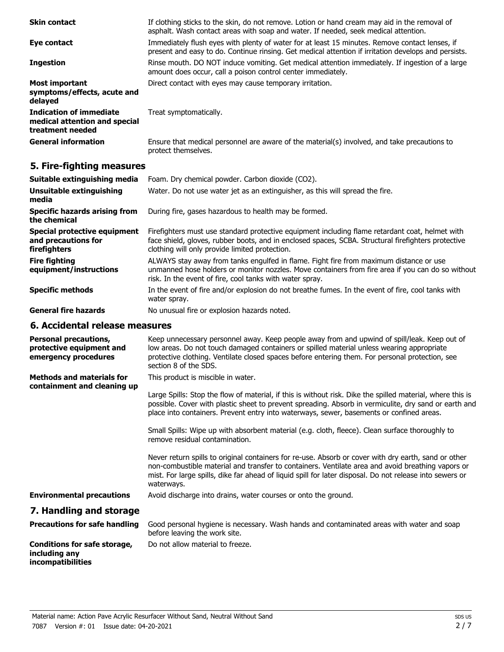| <b>Skin contact</b>                                                                 | If clothing sticks to the skin, do not remove. Lotion or hand cream may aid in the removal of<br>asphalt. Wash contact areas with soap and water. If needed, seek medical attention.                   |
|-------------------------------------------------------------------------------------|--------------------------------------------------------------------------------------------------------------------------------------------------------------------------------------------------------|
| Eye contact                                                                         | Immediately flush eyes with plenty of water for at least 15 minutes. Remove contact lenses, if<br>present and easy to do. Continue rinsing. Get medical attention if irritation develops and persists. |
| <b>Ingestion</b>                                                                    | Rinse mouth. DO NOT induce vomiting. Get medical attention immediately. If ingestion of a large<br>amount does occur, call a poison control center immediately.                                        |
| <b>Most important</b><br>symptoms/effects, acute and<br>delayed                     | Direct contact with eyes may cause temporary irritation.                                                                                                                                               |
| <b>Indication of immediate</b><br>medical attention and special<br>treatment needed | Treat symptomatically.                                                                                                                                                                                 |
| <b>General information</b>                                                          | Ensure that medical personnel are aware of the material(s) involved, and take precautions to<br>protect themselves.                                                                                    |

# **5. Fire-fighting measures**

| Suitable extinguishing media                                        | Foam. Dry chemical powder. Carbon dioxide (CO2).                                                                                                                                                                                                         |
|---------------------------------------------------------------------|----------------------------------------------------------------------------------------------------------------------------------------------------------------------------------------------------------------------------------------------------------|
| Unsuitable extinguishing<br>media                                   | Water. Do not use water jet as an extinguisher, as this will spread the fire.                                                                                                                                                                            |
| <b>Specific hazards arising from</b><br>the chemical                | During fire, gases hazardous to health may be formed.                                                                                                                                                                                                    |
| Special protective equipment<br>and precautions for<br>firefighters | Firefighters must use standard protective equipment including flame retardant coat, helmet with<br>face shield, gloves, rubber boots, and in enclosed spaces, SCBA. Structural firefighters protective<br>clothing will only provide limited protection. |
| <b>Fire fighting</b><br>equipment/instructions                      | ALWAYS stay away from tanks engulfed in flame. Fight fire from maximum distance or use<br>unmanned hose holders or monitor nozzles. Move containers from fire area if you can do so without<br>risk. In the event of fire, cool tanks with water spray.  |
| <b>Specific methods</b>                                             | In the event of fire and/or explosion do not breathe fumes. In the event of fire, cool tanks with<br>water spray.                                                                                                                                        |
| <b>General fire hazards</b>                                         | No unusual fire or explosion hazards noted.                                                                                                                                                                                                              |
|                                                                     |                                                                                                                                                                                                                                                          |

## **6. Accidental release measures**

**incompatibilities**

| <b>Personal precautions,</b><br>protective equipment and<br>emergency procedures | Keep unnecessary personnel away. Keep people away from and upwind of spill/leak. Keep out of<br>low areas. Do not touch damaged containers or spilled material unless wearing appropriate<br>protective clothing. Ventilate closed spaces before entering them. For personal protection, see<br>section 8 of the SDS.               |
|----------------------------------------------------------------------------------|-------------------------------------------------------------------------------------------------------------------------------------------------------------------------------------------------------------------------------------------------------------------------------------------------------------------------------------|
| <b>Methods and materials for</b><br>containment and cleaning up                  | This product is miscible in water.                                                                                                                                                                                                                                                                                                  |
|                                                                                  | Large Spills: Stop the flow of material, if this is without risk. Dike the spilled material, where this is<br>possible. Cover with plastic sheet to prevent spreading. Absorb in vermiculite, dry sand or earth and<br>place into containers. Prevent entry into waterways, sewer, basements or confined areas.                     |
|                                                                                  | Small Spills: Wipe up with absorbent material (e.g. cloth, fleece). Clean surface thoroughly to<br>remove residual contamination.                                                                                                                                                                                                   |
|                                                                                  | Never return spills to original containers for re-use. Absorb or cover with dry earth, sand or other<br>non-combustible material and transfer to containers. Ventilate area and avoid breathing vapors or<br>mist. For large spills, dike far ahead of liquid spill for later disposal. Do not release into sewers or<br>waterways. |
| <b>Environmental precautions</b>                                                 | Avoid discharge into drains, water courses or onto the ground.                                                                                                                                                                                                                                                                      |
| 7. Handling and storage                                                          |                                                                                                                                                                                                                                                                                                                                     |
| <b>Precautions for safe handling</b>                                             | Good personal hygiene is necessary. Wash hands and contaminated areas with water and soap<br>before leaving the work site.                                                                                                                                                                                                          |
| <b>Conditions for safe storage,</b><br>including any                             | Do not allow material to freeze.                                                                                                                                                                                                                                                                                                    |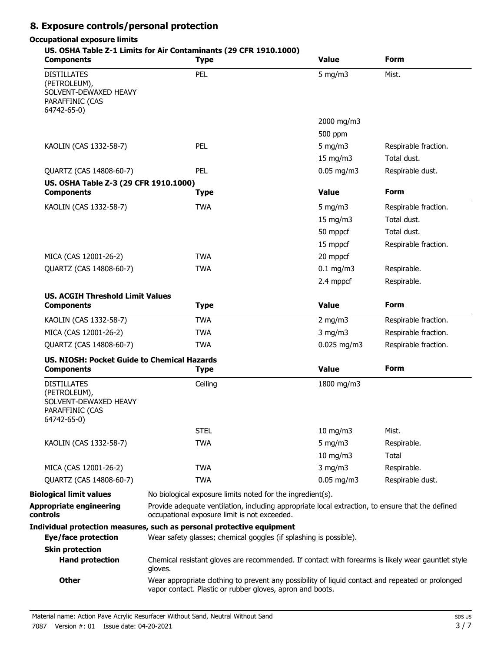# **8. Exposure controls/personal protection**

### **Occupational exposure limits**

### **US. OSHA Table Z-1 Limits for Air Contaminants (29 CFR 1910.1000)**

| <b>Components</b>                                                                             | <b>Type</b>                                                                                                                                                   | <b>Value</b>                                                                                      | Form                 |
|-----------------------------------------------------------------------------------------------|---------------------------------------------------------------------------------------------------------------------------------------------------------------|---------------------------------------------------------------------------------------------------|----------------------|
| <b>DISTILLATES</b><br>(PETROLEUM),<br>SOLVENT-DEWAXED HEAVY<br>PARAFFINIC (CAS<br>64742-65-0) | PEL                                                                                                                                                           | $5$ mg/m $3$                                                                                      | Mist.                |
|                                                                                               |                                                                                                                                                               | 2000 mg/m3                                                                                        |                      |
|                                                                                               |                                                                                                                                                               | 500 ppm                                                                                           |                      |
| KAOLIN (CAS 1332-58-7)                                                                        | PEL                                                                                                                                                           | 5 mg/m $3$                                                                                        | Respirable fraction. |
|                                                                                               |                                                                                                                                                               | $15 \text{ mg/m}$                                                                                 | Total dust.          |
| QUARTZ (CAS 14808-60-7)                                                                       | PEL                                                                                                                                                           | $0.05$ mg/m3                                                                                      | Respirable dust.     |
| US. OSHA Table Z-3 (29 CFR 1910.1000)<br><b>Components</b>                                    | <b>Type</b>                                                                                                                                                   | <b>Value</b>                                                                                      | <b>Form</b>          |
| KAOLIN (CAS 1332-58-7)                                                                        | <b>TWA</b>                                                                                                                                                    | 5 mg/m $3$                                                                                        | Respirable fraction. |
|                                                                                               |                                                                                                                                                               | 15 mg/m3                                                                                          | Total dust.          |
|                                                                                               |                                                                                                                                                               | 50 mppcf                                                                                          | Total dust.          |
|                                                                                               |                                                                                                                                                               | 15 mppcf                                                                                          | Respirable fraction. |
| MICA (CAS 12001-26-2)                                                                         | <b>TWA</b>                                                                                                                                                    | 20 mppcf                                                                                          |                      |
| QUARTZ (CAS 14808-60-7)                                                                       | <b>TWA</b>                                                                                                                                                    | $0.1$ mg/m3                                                                                       | Respirable.          |
|                                                                                               |                                                                                                                                                               | 2.4 mppcf                                                                                         | Respirable.          |
|                                                                                               |                                                                                                                                                               |                                                                                                   |                      |
| <b>US. ACGIH Threshold Limit Values</b><br><b>Components</b>                                  | <b>Type</b>                                                                                                                                                   | <b>Value</b>                                                                                      | <b>Form</b>          |
| KAOLIN (CAS 1332-58-7)                                                                        | <b>TWA</b>                                                                                                                                                    | $2$ mg/m $3$                                                                                      | Respirable fraction. |
| MICA (CAS 12001-26-2)                                                                         | <b>TWA</b>                                                                                                                                                    | $3$ mg/m $3$                                                                                      | Respirable fraction. |
| QUARTZ (CAS 14808-60-7)                                                                       | <b>TWA</b>                                                                                                                                                    | $0.025$ mg/m3                                                                                     | Respirable fraction. |
| US. NIOSH: Pocket Guide to Chemical Hazards                                                   |                                                                                                                                                               |                                                                                                   |                      |
| <b>Components</b>                                                                             | <b>Type</b>                                                                                                                                                   | <b>Value</b>                                                                                      | <b>Form</b>          |
| <b>DISTILLATES</b><br>(PETROLEUM),<br>SOLVENT-DEWAXED HEAVY<br>PARAFFINIC (CAS<br>64742-65-0) | Ceiling                                                                                                                                                       | 1800 mg/m3                                                                                        |                      |
|                                                                                               | <b>STEL</b>                                                                                                                                                   | 10 mg/m3                                                                                          | Mist.                |
| KAOLIN (CAS 1332-58-7)                                                                        | <b>TWA</b>                                                                                                                                                    | 5 mg/m $3$                                                                                        | Respirable.          |
|                                                                                               |                                                                                                                                                               | $10$ mg/m $3$                                                                                     | Total                |
| MICA (CAS 12001-26-2)                                                                         | <b>TWA</b>                                                                                                                                                    | $3$ mg/m $3$                                                                                      | Respirable.          |
| QUARTZ (CAS 14808-60-7)                                                                       | <b>TWA</b>                                                                                                                                                    | $0.05$ mg/m3                                                                                      | Respirable dust.     |
| <b>Biological limit values</b>                                                                | No biological exposure limits noted for the ingredient(s).                                                                                                    |                                                                                                   |                      |
| <b>Appropriate engineering</b><br>controls                                                    | Provide adequate ventilation, including appropriate local extraction, to ensure that the defined<br>occupational exposure limit is not exceeded.              |                                                                                                   |                      |
|                                                                                               | Individual protection measures, such as personal protective equipment                                                                                         |                                                                                                   |                      |
| <b>Eye/face protection</b>                                                                    | Wear safety glasses; chemical goggles (if splashing is possible).                                                                                             |                                                                                                   |                      |
| <b>Skin protection</b>                                                                        |                                                                                                                                                               |                                                                                                   |                      |
| <b>Hand protection</b>                                                                        | gloves.                                                                                                                                                       | Chemical resistant gloves are recommended. If contact with forearms is likely wear gauntlet style |                      |
| <b>Other</b>                                                                                  | Wear appropriate clothing to prevent any possibility of liquid contact and repeated or prolonged<br>vapor contact. Plastic or rubber gloves, apron and boots. |                                                                                                   |                      |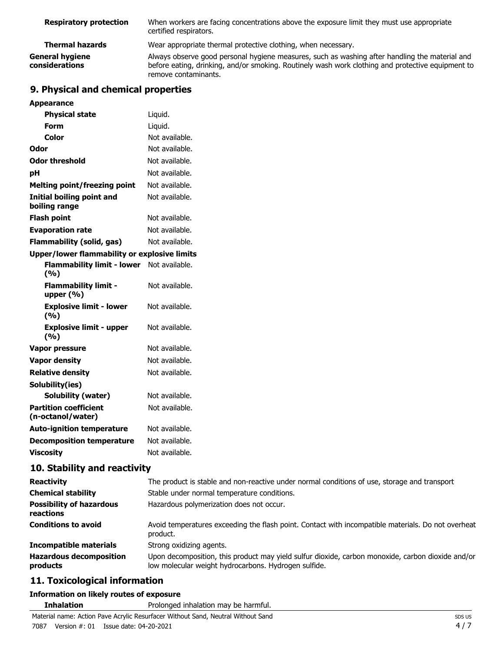| <b>Respiratory protection</b>     | When workers are facing concentrations above the exposure limit they must use appropriate<br>certified respirators.                                                                                                         |
|-----------------------------------|-----------------------------------------------------------------------------------------------------------------------------------------------------------------------------------------------------------------------------|
| <b>Thermal hazards</b>            | Wear appropriate thermal protective clothing, when necessary.                                                                                                                                                               |
| General hygiene<br>considerations | Always observe good personal hygiene measures, such as washing after handling the material and<br>before eating, drinking, and/or smoking. Routinely wash work clothing and protective equipment to<br>remove contaminants. |

# **9. Physical and chemical properties**

| <b>Appearance</b>                                   |                |
|-----------------------------------------------------|----------------|
| <b>Physical state</b>                               | Liquid.        |
| Form                                                | Liquid.        |
| Color                                               | Not available. |
| Odor                                                | Not available. |
| <b>Odor threshold</b>                               | Not available. |
| рH                                                  | Not available. |
| <b>Melting point/freezing point</b>                 | Not available. |
| <b>Initial boiling point and</b><br>boiling range   | Not available. |
| <b>Flash point</b>                                  | Not available. |
| <b>Evaporation rate</b>                             | Not available. |
| <b>Flammability (solid, gas)</b>                    | Not available. |
| <b>Upper/lower flammability or explosive limits</b> |                |
| <b>Flammability limit - lower</b><br>(9/6)          | Not available. |
| <b>Flammability limit -</b><br>upper $(% )$         | Not available. |
| <b>Explosive limit - lower</b><br>(%)               | Not available. |
| <b>Explosive limit - upper</b><br>(%)               | Not available. |
| <b>Vapor pressure</b>                               | Not available. |
| <b>Vapor density</b>                                | Not available. |
| <b>Relative density</b>                             | Not available. |
| Solubility(ies)                                     |                |
| Solubility (water)                                  | Not available. |
| <b>Partition coefficient</b><br>(n-octanol/water)   | Not available. |
| <b>Auto-ignition temperature</b>                    | Not available. |
| <b>Decomposition temperature</b>                    | Not available. |
| <b>Viscosity</b>                                    | Not available. |

# **10. Stability and reactivity**

| <b>Reactivity</b>                            | The product is stable and non-reactive under normal conditions of use, storage and transport                                                              |  |
|----------------------------------------------|-----------------------------------------------------------------------------------------------------------------------------------------------------------|--|
| <b>Chemical stability</b>                    | Stable under normal temperature conditions.                                                                                                               |  |
| <b>Possibility of hazardous</b><br>reactions | Hazardous polymerization does not occur.                                                                                                                  |  |
| <b>Conditions to avoid</b>                   | Avoid temperatures exceeding the flash point. Contact with incompatible materials. Do not overheat<br>product.                                            |  |
| Incompatible materials                       | Strong oxidizing agents.                                                                                                                                  |  |
| <b>Hazardous decomposition</b><br>products   | Upon decomposition, this product may yield sulfur dioxide, carbon monoxide, carbon dioxide and/or<br>low molecular weight hydrocarbons. Hydrogen sulfide. |  |

# **11. Toxicological information**

# **Information on likely routes of exposure**

**Inhalation** Prolonged inhalation may be harmful.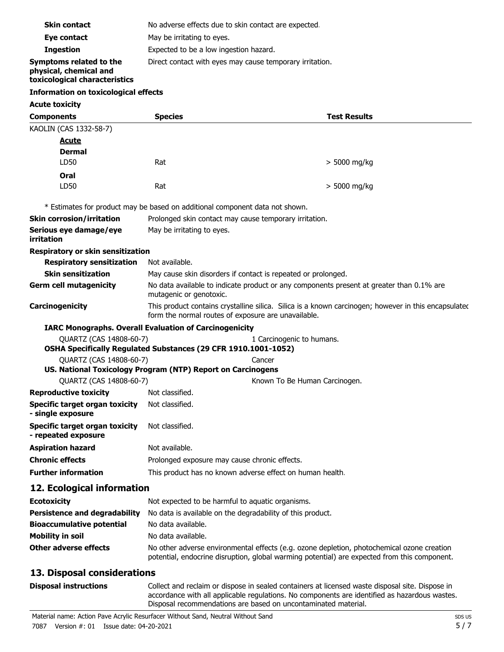| <b>Components</b>                                                                  | <b>Species</b>                                           | <b>Test Results</b> |  |
|------------------------------------------------------------------------------------|----------------------------------------------------------|---------------------|--|
| <b>Acute toxicity</b>                                                              |                                                          |                     |  |
| Information on toxicological effects                                               |                                                          |                     |  |
| Symptoms related to the<br>physical, chemical and<br>toxicological characteristics | Direct contact with eyes may cause temporary irritation. |                     |  |
| <b>Ingestion</b>                                                                   | Expected to be a low ingestion hazard.                   |                     |  |
| Eye contact                                                                        | May be irritating to eyes.                               |                     |  |
| <b>Skin contact</b>                                                                | No adverse effects due to skin contact are expected.     |                     |  |
|                                                                                    |                                                          |                     |  |

| KAOLIN (CAS 1332-58-7)                                       |                                                                                                                                                             |                               |  |
|--------------------------------------------------------------|-------------------------------------------------------------------------------------------------------------------------------------------------------------|-------------------------------|--|
| <b>Acute</b>                                                 |                                                                                                                                                             |                               |  |
| <b>Dermal</b>                                                |                                                                                                                                                             |                               |  |
| LD50                                                         | Rat                                                                                                                                                         | $> 5000$ mg/kg                |  |
| Oral                                                         |                                                                                                                                                             |                               |  |
| LD50                                                         | Rat                                                                                                                                                         | $> 5000$ mg/kg                |  |
|                                                              | * Estimates for product may be based on additional component data not shown.                                                                                |                               |  |
| <b>Skin corrosion/irritation</b>                             | Prolonged skin contact may cause temporary irritation.                                                                                                      |                               |  |
| Serious eye damage/eye<br><b>irritation</b>                  | May be irritating to eyes.                                                                                                                                  |                               |  |
| Respiratory or skin sensitization                            |                                                                                                                                                             |                               |  |
| <b>Respiratory sensitization</b>                             | Not available.                                                                                                                                              |                               |  |
| <b>Skin sensitization</b>                                    | May cause skin disorders if contact is repeated or prolonged.                                                                                               |                               |  |
| <b>Germ cell mutagenicity</b>                                | No data available to indicate product or any components present at greater than 0.1% are<br>mutagenic or genotoxic.                                         |                               |  |
| Carcinogenicity                                              | This product contains crystalline silica. Silica is a known carcinogen; however in this encapsulated<br>form the normal routes of exposure are unavailable. |                               |  |
|                                                              | <b>IARC Monographs. Overall Evaluation of Carcinogenicity</b>                                                                                               |                               |  |
| QUARTZ (CAS 14808-60-7)                                      | OSHA Specifically Regulated Substances (29 CFR 1910.1001-1052)                                                                                              | 1 Carcinogenic to humans.     |  |
| QUARTZ (CAS 14808-60-7)                                      |                                                                                                                                                             | Cancer                        |  |
|                                                              | US. National Toxicology Program (NTP) Report on Carcinogens                                                                                                 |                               |  |
| QUARTZ (CAS 14808-60-7)                                      |                                                                                                                                                             | Known To Be Human Carcinogen. |  |
| <b>Reproductive toxicity</b>                                 | Not classified.                                                                                                                                             |                               |  |
| <b>Specific target organ toxicity</b><br>- single exposure   | Not classified.                                                                                                                                             |                               |  |
| <b>Specific target organ toxicity</b><br>- repeated exposure | Not classified.                                                                                                                                             |                               |  |
| <b>Aspiration hazard</b>                                     | Not available.                                                                                                                                              |                               |  |
| <b>Chronic effects</b>                                       | Prolonged exposure may cause chronic effects.                                                                                                               |                               |  |
| <b>Further information</b>                                   | This product has no known adverse effect on human health.                                                                                                   |                               |  |
| 12. Ecological information                                   |                                                                                                                                                             |                               |  |

| <b>Ecotoxicity</b>               | Not expected to be harmful to aquatic organisms.                                                                                                                                           |
|----------------------------------|--------------------------------------------------------------------------------------------------------------------------------------------------------------------------------------------|
| Persistence and degradability    | No data is available on the degradability of this product.                                                                                                                                 |
| <b>Bioaccumulative potential</b> | No data available.                                                                                                                                                                         |
| <b>Mobility in soil</b>          | No data available.                                                                                                                                                                         |
| Other adverse effects            | No other adverse environmental effects (e.g. ozone depletion, photochemical ozone creation<br>potential, endocrine disruption, global warming potential) are expected from this component. |

# **13. Disposal considerations**

| <b>Disposal instructions</b> |  |
|------------------------------|--|
|------------------------------|--|

Collect and reclaim or dispose in sealed containers at licensed waste disposal site. Dispose in accordance with all applicable regulations. No components are identified as hazardous wastes. Disposal recommendations are based on uncontaminated material.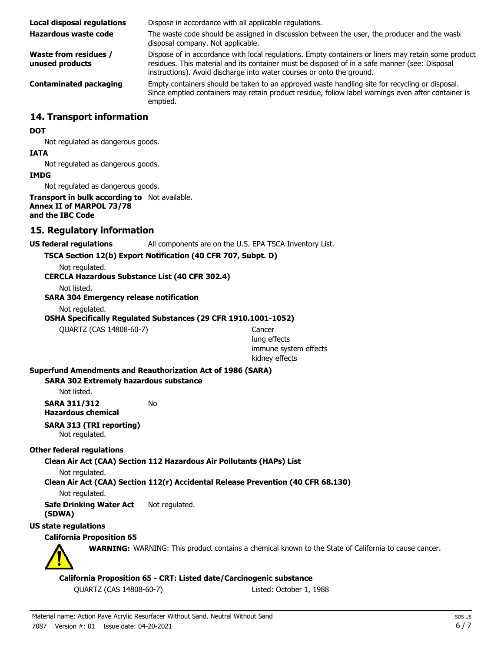| Local disposal regulations               | Dispose in accordance with all applicable regulations.                                                                                                                                                                                                                        |
|------------------------------------------|-------------------------------------------------------------------------------------------------------------------------------------------------------------------------------------------------------------------------------------------------------------------------------|
| Hazardous waste code                     | The waste code should be assigned in discussion between the user, the producer and the waste<br>disposal company. Not applicable.                                                                                                                                             |
| Waste from residues /<br>unused products | Dispose of in accordance with local regulations. Empty containers or liners may retain some product<br>residues. This material and its container must be disposed of in a safe manner (see: Disposal<br>instructions). Avoid discharge into water courses or onto the ground. |
| <b>Contaminated packaging</b>            | Empty containers should be taken to an approved waste handling site for recycling or disposal.<br>Since emptied containers may retain product residue, follow label warnings even after container is<br>emptied.                                                              |

### **14. Transport information**

#### **DOT**

Not regulated as dangerous goods.

#### **IATA**

Not regulated as dangerous goods.

#### **IMDG**

Not regulated as dangerous goods.

#### **Transport in bulk according to** Not available. **Annex II of MARPOL 73/78 and the IBC Code**

### **15. Regulatory information**

### **US federal regulations** All components are on the U.S. EPA TSCA Inventory List.

**TSCA Section 12(b) Export Notification (40 CFR 707, Subpt. D)**

Not regulated.

# **CERCLA Hazardous Substance List (40 CFR 302.4)**

Not listed.

**SARA 304 Emergency release notification**

Not regulated.

**OSHA Specifically Regulated Substances (29 CFR 1910.1001-1052)**

QUARTZ (CAS 14808-60-7) Cancer

lung effects immune system effects kidney effects

#### **Superfund Amendments and Reauthorization Act of 1986 (SARA)**

#### **SARA 302 Extremely hazardous substance**

Not listed.

**SARA 311/312** No **Hazardous chemical**

# **SARA 313 (TRI reporting)**

Not regulated.

### **Other federal regulations**

**Clean Air Act (CAA) Section 112 Hazardous Air Pollutants (HAPs) List**

Not regulated.

**Clean Air Act (CAA) Section 112(r) Accidental Release Prevention (40 CFR 68.130)**

Not regulated.

**Safe Drinking Water Act** Not regulated. **(SDWA)**

**US state regulations**

### **California Proposition 65**



**WARNING:** WARNING: This product contains a chemical known to the State of California to cause cancer.

#### **California Proposition 65 - CRT: Listed date/Carcinogenic substance**

QUARTZ (CAS 14808-60-7) Listed: October 1, 1988

Material name: Action Pave Acrylic Resurfacer Without Sand, Neutral Without Sand 7087 Version #: 01 Issue date: 04-20-2021